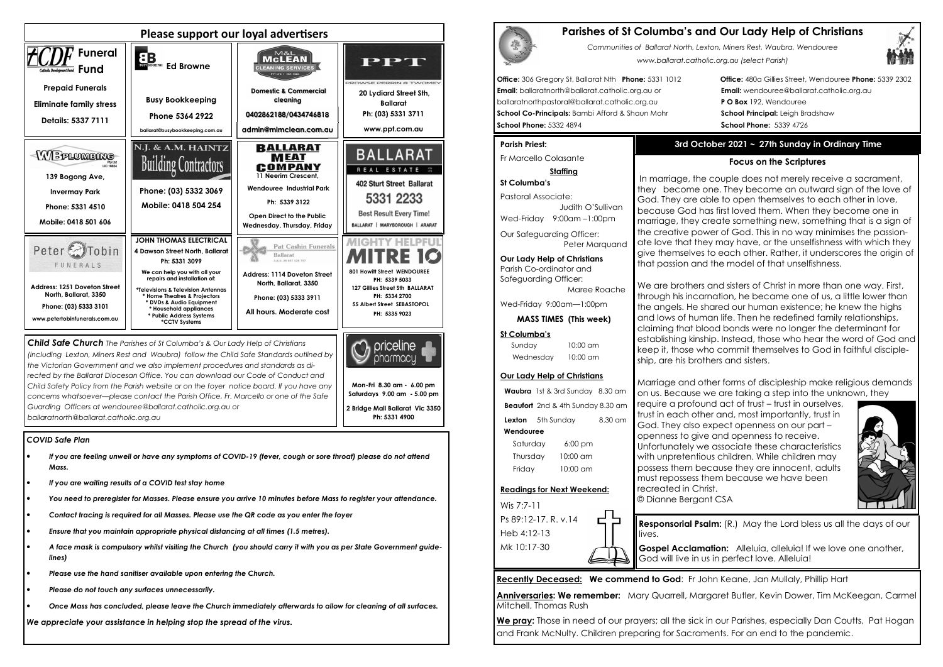## *COVID Safe Plan*

- *If you are feeling unwell or have any symptoms of COVID-19 (fever, cough or sore throat) please do not attend Mass.*
- *If you are waiting results of a COVID test stay home*
- *You need to preregister for Masses. Please ensure you arrive 10 minutes before Mass to register your attendance.*
- *Contact tracing is required for all Masses. Please use the QR code as you enter the foyer*
- *Ensure that you maintain appropriate physical distancing at all times (1.5 metres).*
- *A face mask is compulsory whilst visiting the Church (you should carry it with you as per State Government guidelines)*
- *Please use the hand sanitiser available upon entering the Church.*
- *Please do not touch any surfaces unnecessarily.*
- *Once Mass has concluded, please leave the Church immediately afterwards to allow for cleaning of all surfaces.*



*We appreciate your assistance in helping stop the spread of the virus.*

| <b>Parishes o</b> |
|-------------------|
| Commu             |
|                   |

*(including Lexton, Miners Rest and Waubra) follow the Child Safe Standards outlined by the Victorian Government and we also implement procedures and standards as directed by the Ballarat Diocesan Office. You can download our Code of Conduct and Child Safety Policy from the Parish website or on the foyer notice board. If you have any concerns whatsoever—please contact the Parish Office, Fr. Marcello or one of the Safe Guarding Officers at wendouree@ballarat.catholic.org.au or ballaratnorth@ballarat.catholic.org.au* 

Our Safeguarding Officer: Peter Marauand

**Mon-Fri 8.30 am - 6.00 pm Saturdays 9.00 am - 5.00 pm 2 Bridge Mall Ballarat Vic 3350 Ph: 5331 4900** 

pharmacu

We pray: Those in need of our prayers; all the sick in our Parishes, especially Dan Coutts, Pat Hogan and Frank McNulty. Children preparing for Sacraments. For an end to the pandemic.

# **Parishes of St Columba's and Our Lady Help of Christians**



*Communities of Ballarat North, Lexton, Miners Rest, Waubra, Wendouree www.ballarat.catholic.org.au (select Parish)* 

**Office:** 306 Gregory St, Ballarat Nth **Phone:** 5331 1012 **Office:** 480a Gillies Street, Wendouree **Phone:** 5339 2302

**Gospel Acclamation:** Alleluia, alleluia! If we love one another, God will live in us in perfect love. Alleluia!

**Email**: ballaratnorth@ballarat.catholic.org.au or **Email:** wendouree@ballarat.catholic.org.au ballaratnorthpastoral@ballarat.catholic.org.au **P O Box** 192, Wendouree **School Co-Principals:** Bambi Afford & Shaun Mohr **School Principal:** Leigh Bradshaw **School Phone:** 5332 4894 **School Phone:** 5339 4726

## **Parish Priest:**

Fr Marcello Colasante

## **Staffing**

**St Columba's** Pastoral Associate: Judith O'SullivanWed-Friday 9:00am –1:00pm

**Our Lady Help of Christians**Parish Co-ordinator and Safeguarding Officer:

Maree Roache

Wed-Friday 9:00am—1:00pm

**MASS TIMES (This week)**

## **St Columba's**

Sunday 10:00 am Wednesday 10:00 am

### **Our Lady Help of Christians**

**Waubra** 1st & 3rd Sunday 8.30 am **Beaufort** 2nd & 4th Sunday 8.30 am **Lexton** 5th Sunday 8.30 am  **Wendouree** Saturday 6:00 pm Thursday 10:00 am

Friday 10:00 am

### **Readings for Next Weekend:**

Wis 7:7-11 Ps 89:12-17. R. v.14 Heb 4:12-13 Mk 10:17-30

## **Recently Deceased: We commend to God**: Fr John Keane, Jan Mullaly, Phillip Hart

**Anniversaries: We remember:** Mary Quarrell, Margaret Butler, Kevin Dower, Tim McKeegan, Carmel Mitchell, Thomas Rush

## **3rd October 2021 ~ 27th Sunday in Ordinary Time**

## **Focus on the Scriptures**

In marriage, the couple does not merely receive a sacrament, they become one. They become an outward sign of the love of God. They are able to open themselves to each other in love, because God has first loved them. When they become one in marriage, they create something new, something that is a sign of the creative power of God. This in no way minimises the passionate love that they may have, or the unselfishness with which they give themselves to each other. Rather, it underscores the origin of that passion and the model of that unselfishness.

We are brothers and sisters of Christ in more than one way. First, through his incarnation, he became one of us, a little lower than the angels. He shared our human existence; he knew the highs and lows of human life. Then he redefined family relationships, claiming that blood bonds were no longer the determinant for establishing kinship. Instead, those who hear the word of God and keep it, those who commit themselves to God in faithful discipleship, are his brothers and sisters.

Marriage and other forms of discipleship make religious demands on us. Because we are taking a step into the unknown, they

require a profound act of trust – trust in ourselves, trust in each other and, most importantly, trust inGod. They also expect openness on our part – openness to give and openness to receive. Unfortunately we associate these characteristics with unpretentious children. While children may possess them because they are innocent, adults must repossess them because we have been recreated in Christ. © Dianne Bergant CSA



**Responsorial Psalm:** (R.) May the Lord bless us all the days of our

lives.